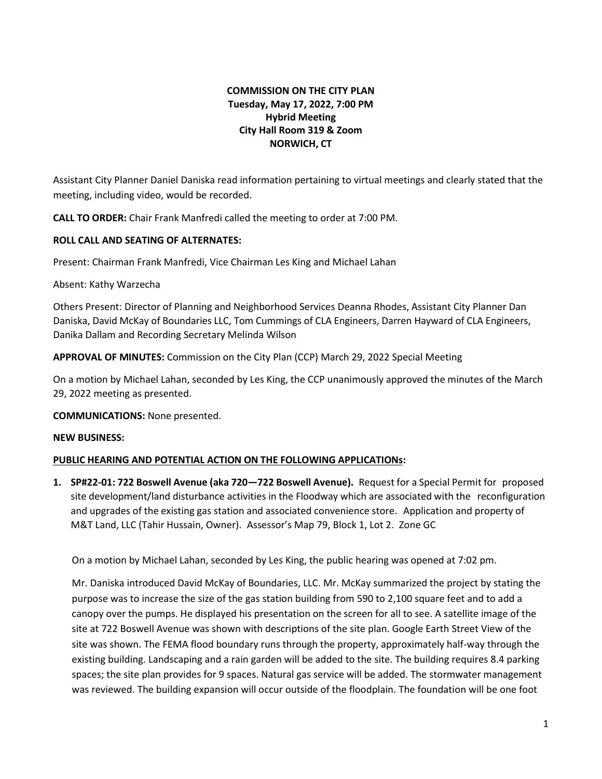# **COMMISSION ON THE CITY PLAN Tuesday, May 17, 2022, 7:00 PM Hybrid Meeting City Hall Room 319 & Zoom NORWICH, CT**

Assistant City Planner Daniel Daniska read information pertaining to virtual meetings and clearly stated that the meeting, including video, would be recorded.

**CALL TO ORDER:** Chair Frank Manfredi called the meeting to order at 7:00 PM.

### **ROLL CALL AND SEATING OF ALTERNATES:**

Present: Chairman Frank Manfredi, Vice Chairman Les King and Michael Lahan

Absent: Kathy Warzecha

Others Present: Director of Planning and Neighborhood Services Deanna Rhodes, Assistant City Planner Dan Daniska, David McKay of Boundaries LLC, Tom Cummings of CLA Engineers, Darren Hayward of CLA Engineers, Danika Dallam and Recording Secretary Melinda Wilson

**APPROVAL OF MINUTES:** Commission on the City Plan (CCP) March 29, 2022 Special Meeting

On a motion by Michael Lahan, seconded by Les King, the CCP unanimously approved the minutes of the March 29, 2022 meeting as presented.

**COMMUNICATIONS:** None presented.

#### **NEW BUSINESS:**

## **PUBLIC HEARING AND POTENTIAL ACTION ON THE FOLLOWING APPLICATIONs:**

**1. SP#22-01: 722 Boswell Avenue (aka 720—722 Boswell Avenue).** Request for a Special Permit for proposed site development/land disturbance activities in the Floodway which are associated with the reconfiguration and upgrades of the existing gas station and associated convenience store. Application and property of M&T Land, LLC (Tahir Hussain, Owner). Assessor's Map 79, Block 1, Lot 2. Zone GC

On a motion by Michael Lahan, seconded by Les King, the public hearing was opened at 7:02 pm.

Mr. Daniska introduced David McKay of Boundaries, LLC. Mr. McKay summarized the project by stating the purpose was to increase the size of the gas station building from 590 to 2,100 square feet and to add a canopy over the pumps. He displayed his presentation on the screen for all to see. A satellite image of the site at 722 Boswell Avenue was shown with descriptions of the site plan. Google Earth Street View of the site was shown. The FEMA flood boundary runs through the property, approximately half-way through the existing building. Landscaping and a rain garden will be added to the site. The building requires 8.4 parking spaces; the site plan provides for 9 spaces. Natural gas service will be added. The stormwater management was reviewed. The building expansion will occur outside of the floodplain. The foundation will be one foot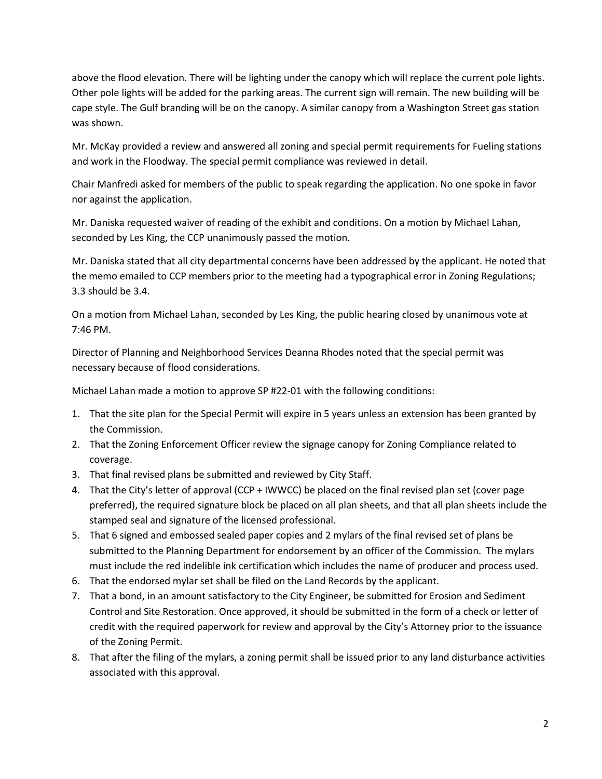above the flood elevation. There will be lighting under the canopy which will replace the current pole lights. Other pole lights will be added for the parking areas. The current sign will remain. The new building will be cape style. The Gulf branding will be on the canopy. A similar canopy from a Washington Street gas station was shown.

Mr. McKay provided a review and answered all zoning and special permit requirements for Fueling stations and work in the Floodway. The special permit compliance was reviewed in detail.

Chair Manfredi asked for members of the public to speak regarding the application. No one spoke in favor nor against the application.

Mr. Daniska requested waiver of reading of the exhibit and conditions. On a motion by Michael Lahan, seconded by Les King, the CCP unanimously passed the motion.

Mr. Daniska stated that all city departmental concerns have been addressed by the applicant. He noted that the memo emailed to CCP members prior to the meeting had a typographical error in Zoning Regulations; 3.3 should be 3.4.

On a motion from Michael Lahan, seconded by Les King, the public hearing closed by unanimous vote at 7:46 PM.

Director of Planning and Neighborhood Services Deanna Rhodes noted that the special permit was necessary because of flood considerations.

Michael Lahan made a motion to approve SP #22-01 with the following conditions:

- 1. That the site plan for the Special Permit will expire in 5 years unless an extension has been granted by the Commission.
- 2. That the Zoning Enforcement Officer review the signage canopy for Zoning Compliance related to coverage.
- 3. That final revised plans be submitted and reviewed by City Staff.
- 4. That the City's letter of approval (CCP + IWWCC) be placed on the final revised plan set (cover page preferred), the required signature block be placed on all plan sheets, and that all plan sheets include the stamped seal and signature of the licensed professional.
- 5. That 6 signed and embossed sealed paper copies and 2 mylars of the final revised set of plans be submitted to the Planning Department for endorsement by an officer of the Commission. The mylars must include the red indelible ink certification which includes the name of producer and process used.
- 6. That the endorsed mylar set shall be filed on the Land Records by the applicant.
- 7. That a bond, in an amount satisfactory to the City Engineer, be submitted for Erosion and Sediment Control and Site Restoration. Once approved, it should be submitted in the form of a check or letter of credit with the required paperwork for review and approval by the City's Attorney prior to the issuance of the Zoning Permit.
- 8. That after the filing of the mylars, a zoning permit shall be issued prior to any land disturbance activities associated with this approval.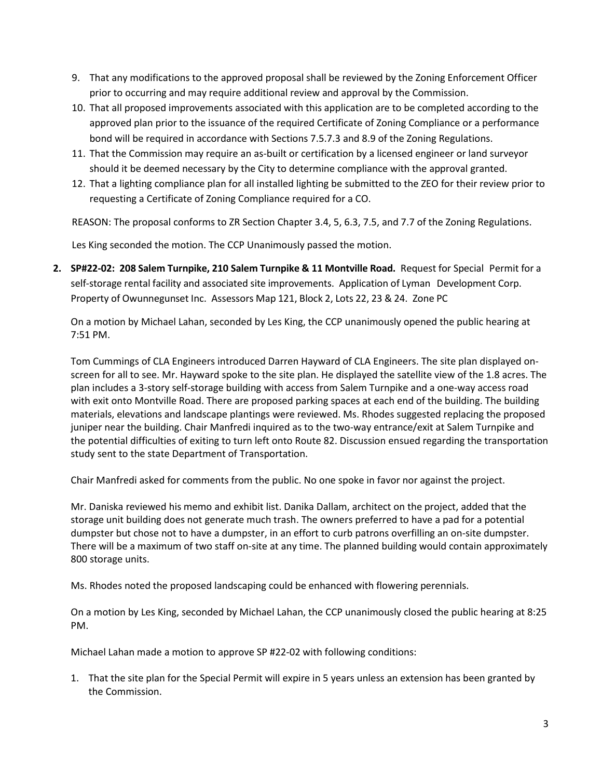- 9. That any modifications to the approved proposal shall be reviewed by the Zoning Enforcement Officer prior to occurring and may require additional review and approval by the Commission.
- 10. That all proposed improvements associated with this application are to be completed according to the approved plan prior to the issuance of the required Certificate of Zoning Compliance or a performance bond will be required in accordance with Sections 7.5.7.3 and 8.9 of the Zoning Regulations.
- 11. That the Commission may require an as-built or certification by a licensed engineer or land surveyor should it be deemed necessary by the City to determine compliance with the approval granted.
- 12. That a lighting compliance plan for all installed lighting be submitted to the ZEO for their review prior to requesting a Certificate of Zoning Compliance required for a CO.

REASON: The proposal conforms to ZR Section Chapter 3.4, 5, 6.3, 7.5, and 7.7 of the Zoning Regulations.

Les King seconded the motion. The CCP Unanimously passed the motion.

**2. SP#22-02: 208 Salem Turnpike, 210 Salem Turnpike & 11 Montville Road.** Request for Special Permit for a self-storage rental facility and associated site improvements. Application of Lyman Development Corp. Property of Owunnegunset Inc. Assessors Map 121, Block 2, Lots 22, 23 & 24. Zone PC

On a motion by Michael Lahan, seconded by Les King, the CCP unanimously opened the public hearing at 7:51 PM.

Tom Cummings of CLA Engineers introduced Darren Hayward of CLA Engineers. The site plan displayed onscreen for all to see. Mr. Hayward spoke to the site plan. He displayed the satellite view of the 1.8 acres. The plan includes a 3-story self-storage building with access from Salem Turnpike and a one-way access road with exit onto Montville Road. There are proposed parking spaces at each end of the building. The building materials, elevations and landscape plantings were reviewed. Ms. Rhodes suggested replacing the proposed juniper near the building. Chair Manfredi inquired as to the two-way entrance/exit at Salem Turnpike and the potential difficulties of exiting to turn left onto Route 82. Discussion ensued regarding the transportation study sent to the state Department of Transportation.

Chair Manfredi asked for comments from the public. No one spoke in favor nor against the project.

Mr. Daniska reviewed his memo and exhibit list. Danika Dallam, architect on the project, added that the storage unit building does not generate much trash. The owners preferred to have a pad for a potential dumpster but chose not to have a dumpster, in an effort to curb patrons overfilling an on-site dumpster. There will be a maximum of two staff on-site at any time. The planned building would contain approximately 800 storage units.

Ms. Rhodes noted the proposed landscaping could be enhanced with flowering perennials.

On a motion by Les King, seconded by Michael Lahan, the CCP unanimously closed the public hearing at 8:25 PM.

Michael Lahan made a motion to approve SP #22-02 with following conditions:

1. That the site plan for the Special Permit will expire in 5 years unless an extension has been granted by the Commission.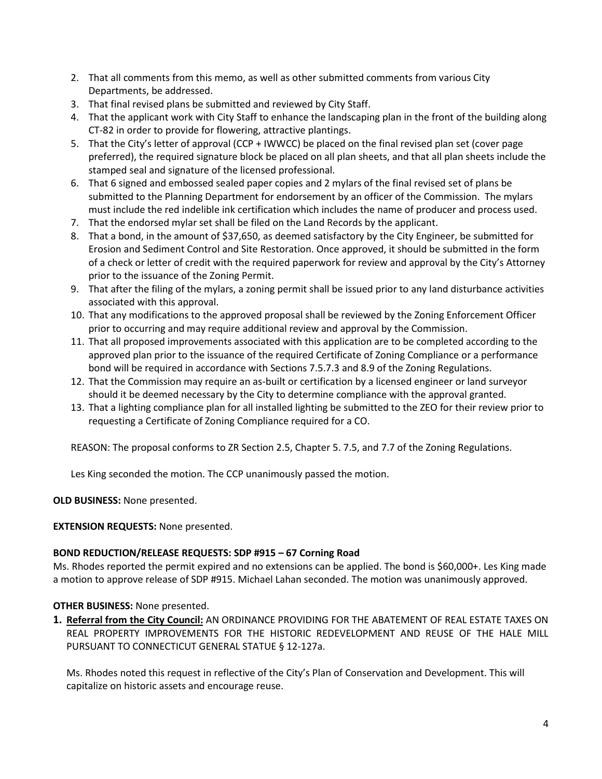- 2. That all comments from this memo, as well as other submitted comments from various City Departments, be addressed.
- 3. That final revised plans be submitted and reviewed by City Staff.
- 4. That the applicant work with City Staff to enhance the landscaping plan in the front of the building along CT-82 in order to provide for flowering, attractive plantings.
- 5. That the City's letter of approval (CCP + IWWCC) be placed on the final revised plan set (cover page preferred), the required signature block be placed on all plan sheets, and that all plan sheets include the stamped seal and signature of the licensed professional.
- 6. That 6 signed and embossed sealed paper copies and 2 mylars of the final revised set of plans be submitted to the Planning Department for endorsement by an officer of the Commission. The mylars must include the red indelible ink certification which includes the name of producer and process used.
- 7. That the endorsed mylar set shall be filed on the Land Records by the applicant.
- 8. That a bond, in the amount of \$37,650, as deemed satisfactory by the City Engineer, be submitted for Erosion and Sediment Control and Site Restoration. Once approved, it should be submitted in the form of a check or letter of credit with the required paperwork for review and approval by the City's Attorney prior to the issuance of the Zoning Permit.
- 9. That after the filing of the mylars, a zoning permit shall be issued prior to any land disturbance activities associated with this approval.
- 10. That any modifications to the approved proposal shall be reviewed by the Zoning Enforcement Officer prior to occurring and may require additional review and approval by the Commission.
- 11. That all proposed improvements associated with this application are to be completed according to the approved plan prior to the issuance of the required Certificate of Zoning Compliance or a performance bond will be required in accordance with Sections 7.5.7.3 and 8.9 of the Zoning Regulations.
- 12. That the Commission may require an as-built or certification by a licensed engineer or land surveyor should it be deemed necessary by the City to determine compliance with the approval granted.
- 13. That a lighting compliance plan for all installed lighting be submitted to the ZEO for their review prior to requesting a Certificate of Zoning Compliance required for a CO.

REASON: The proposal conforms to ZR Section 2.5, Chapter 5. 7.5, and 7.7 of the Zoning Regulations.

Les King seconded the motion. The CCP unanimously passed the motion.

**OLD BUSINESS:** None presented.

#### **EXTENSION REQUESTS:** None presented.

#### **BOND REDUCTION/RELEASE REQUESTS: SDP #915 – 67 Corning Road**

Ms. Rhodes reported the permit expired and no extensions can be applied. The bond is \$60,000+. Les King made a motion to approve release of SDP #915. Michael Lahan seconded. The motion was unanimously approved.

#### **OTHER BUSINESS:** None presented.

**1. Referral from the City Council:** AN ORDINANCE PROVIDING FOR THE ABATEMENT OF REAL ESTATE TAXES ON REAL PROPERTY IMPROVEMENTS FOR THE HISTORIC REDEVELOPMENT AND REUSE OF THE HALE MILL PURSUANT TO CONNECTICUT GENERAL STATUE § 12-127a.

Ms. Rhodes noted this request in reflective of the City's Plan of Conservation and Development. This will capitalize on historic assets and encourage reuse.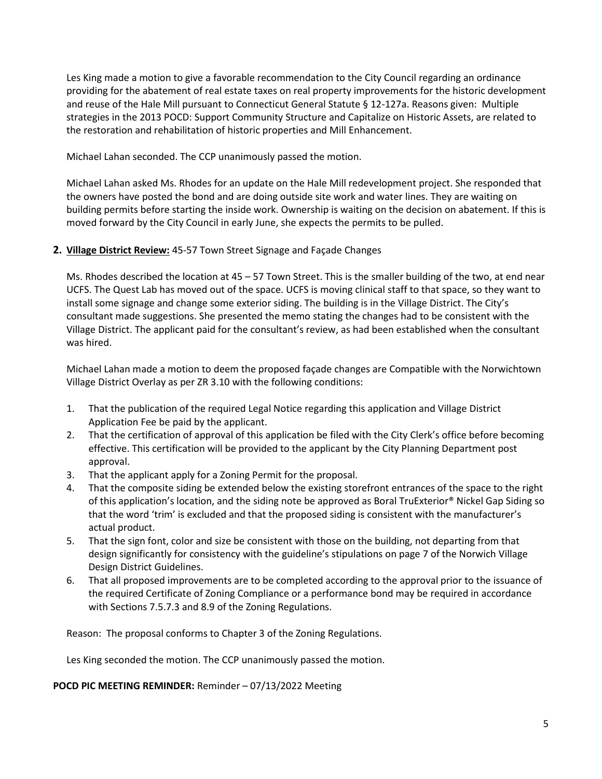Les King made a motion to give a favorable recommendation to the City Council regarding an ordinance providing for the abatement of real estate taxes on real property improvements for the historic development and reuse of the Hale Mill pursuant to Connecticut General Statute § 12-127a. Reasons given: Multiple strategies in the 2013 POCD: Support Community Structure and Capitalize on Historic Assets, are related to the restoration and rehabilitation of historic properties and Mill Enhancement.

Michael Lahan seconded. The CCP unanimously passed the motion.

Michael Lahan asked Ms. Rhodes for an update on the Hale Mill redevelopment project. She responded that the owners have posted the bond and are doing outside site work and water lines. They are waiting on building permits before starting the inside work. Ownership is waiting on the decision on abatement. If this is moved forward by the City Council in early June, she expects the permits to be pulled.

## **2. Village District Review:** 45-57 Town Street Signage and Façade Changes

Ms. Rhodes described the location at 45 – 57 Town Street. This is the smaller building of the two, at end near UCFS. The Quest Lab has moved out of the space. UCFS is moving clinical staff to that space, so they want to install some signage and change some exterior siding. The building is in the Village District. The City's consultant made suggestions. She presented the memo stating the changes had to be consistent with the Village District. The applicant paid for the consultant's review, as had been established when the consultant was hired.

Michael Lahan made a motion to deem the proposed façade changes are Compatible with the Norwichtown Village District Overlay as per ZR 3.10 with the following conditions:

- 1. That the publication of the required Legal Notice regarding this application and Village District Application Fee be paid by the applicant.
- 2. That the certification of approval of this application be filed with the City Clerk's office before becoming effective. This certification will be provided to the applicant by the City Planning Department post approval.
- 3. That the applicant apply for a Zoning Permit for the proposal.
- 4. That the composite siding be extended below the existing storefront entrances of the space to the right of this application's location, and the siding note be approved as Boral TruExterior® Nickel Gap Siding so that the word 'trim' is excluded and that the proposed siding is consistent with the manufacturer's actual product.
- 5. That the sign font, color and size be consistent with those on the building, not departing from that design significantly for consistency with the guideline's stipulations on page 7 of the Norwich Village Design District Guidelines.
- 6. That all proposed improvements are to be completed according to the approval prior to the issuance of the required Certificate of Zoning Compliance or a performance bond may be required in accordance with Sections 7.5.7.3 and 8.9 of the Zoning Regulations.

Reason: The proposal conforms to Chapter 3 of the Zoning Regulations.

Les King seconded the motion. The CCP unanimously passed the motion.

**POCD PIC MEETING REMINDER:** Reminder – 07/13/2022 Meeting